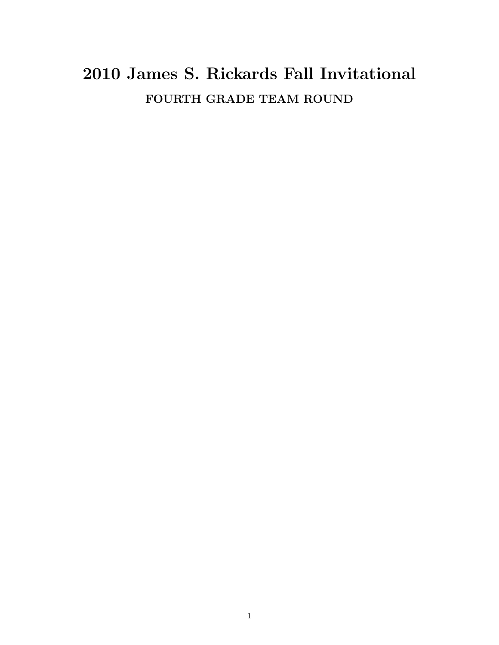## 2010 James S. Rickards Fall Invitational FOURTH GRADE TEAM ROUND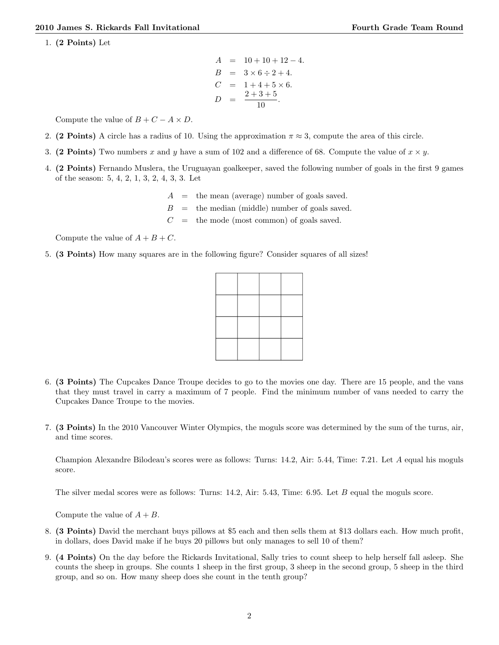1. (2 Points) Let

$$
A = 10 + 10 + 12 - 4.
$$
  
\n
$$
B = 3 \times 6 \div 2 + 4.
$$
  
\n
$$
C = 1 + 4 + 5 \times 6.
$$
  
\n
$$
D = \frac{2 + 3 + 5}{10}.
$$

Compute the value of  $B + C - A \times D$ .

- 2. (2 Points) A circle has a radius of 10. Using the approximation  $\pi \approx 3$ , compute the area of this circle.
- 3. (2 Points) Two numbers x and y have a sum of 102 and a difference of 68. Compute the value of  $x \times y$ .
- 4. (2 Points) Fernando Muslera, the Uruguayan goalkeeper, saved the following number of goals in the first 9 games of the season: 5, 4, 2, 1, 3, 2, 4, 3, 3. Let
	- $A =$  the mean (average) number of goals saved.
	- $B =$  the median (middle) number of goals saved.
	- $C =$  the mode (most common) of goals saved.

Compute the value of  $A + B + C$ .

5. (3 Points) How many squares are in the following figure? Consider squares of all sizes!



- 6. (3 Points) The Cupcakes Dance Troupe decides to go to the movies one day. There are 15 people, and the vans that they must travel in carry a maximum of 7 people. Find the minimum number of vans needed to carry the Cupcakes Dance Troupe to the movies.
- 7. (3 Points) In the 2010 Vancouver Winter Olympics, the moguls score was determined by the sum of the turns, air, and time scores.

Champion Alexandre Bilodeau's scores were as follows: Turns: 14.2, Air: 5.44, Time: 7.21. Let A equal his moguls score.

The silver medal scores were as follows: Turns: 14.2, Air: 5.43, Time: 6.95. Let B equal the moguls score.

Compute the value of  $A + B$ .

- 8. (3 Points) David the merchant buys pillows at \$5 each and then sells them at \$13 dollars each. How much profit, in dollars, does David make if he buys 20 pillows but only manages to sell 10 of them?
- 9. (4 Points) On the day before the Rickards Invitational, Sally tries to count sheep to help herself fall asleep. She counts the sheep in groups. She counts 1 sheep in the first group, 3 sheep in the second group, 5 sheep in the third group, and so on. How many sheep does she count in the tenth group?